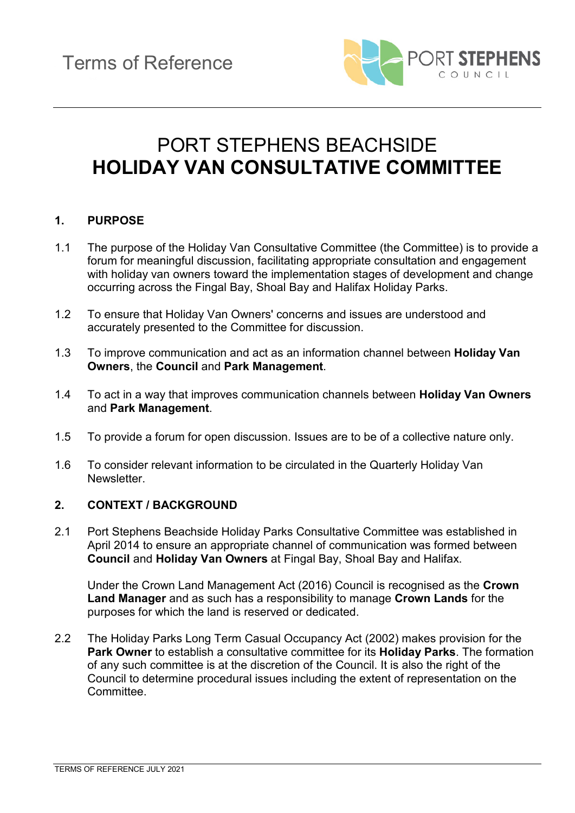

# PORT STEPHENS BEACHSIDE **HOLIDAY VAN CONSULTATIVE COMMITTEE**

### **1. PURPOSE**

- 1.1 The purpose of the Holiday Van Consultative Committee (the Committee) is to provide a forum for meaningful discussion, facilitating appropriate consultation and engagement with holiday van owners toward the implementation stages of development and change occurring across the Fingal Bay, Shoal Bay and Halifax Holiday Parks.
- 1.2 To ensure that Holiday Van Owners' concerns and issues are understood and accurately presented to the Committee for discussion.
- 1.3 To improve communication and act as an information channel between **Holiday Van Owners**, the **Council** and **Park Management**.
- 1.4 To act in a way that improves communication channels between **Holiday Van Owners** and **Park Management**.
- 1.5 To provide a forum for open discussion. Issues are to be of a collective nature only.
- 1.6 To consider relevant information to be circulated in the Quarterly Holiday Van Newsletter.

#### **2. CONTEXT / BACKGROUND**

2.1 Port Stephens Beachside Holiday Parks Consultative Committee was established in April 2014 to ensure an appropriate channel of communication was formed between **Council** and **Holiday Van Owners** at Fingal Bay, Shoal Bay and Halifax.

Under the Crown Land Management Act (2016) Council is recognised as the **Crown Land Manager** and as such has a responsibility to manage **Crown Lands** for the purposes for which the land is reserved or dedicated.

2.2 The Holiday Parks Long Term Casual Occupancy Act (2002) makes provision for the **Park Owner** to establish a consultative committee for its **Holiday Parks**. The formation of any such committee is at the discretion of the Council. It is also the right of the Council to determine procedural issues including the extent of representation on the Committee.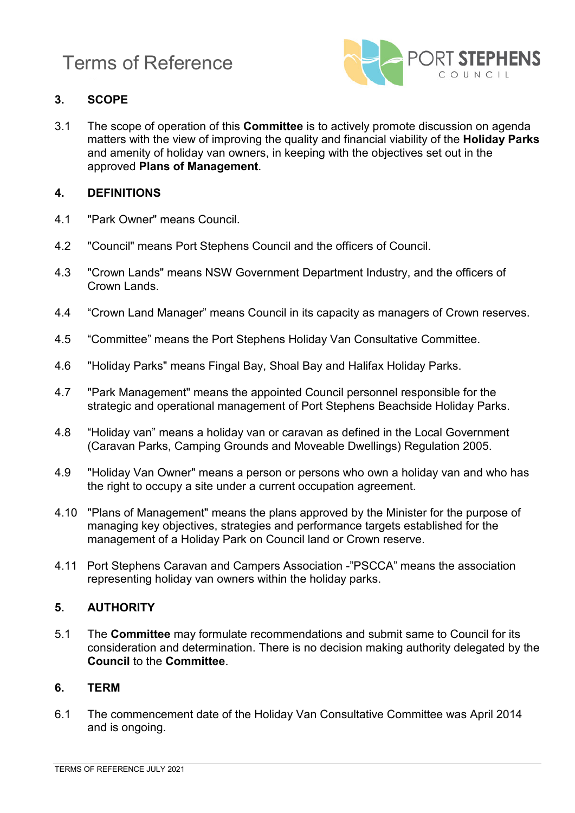

# **3. SCOPE**

3.1 The scope of operation of this **Committee** is to actively promote discussion on agenda matters with the view of improving the quality and financial viability of the **Holiday Parks** and amenity of holiday van owners, in keeping with the objectives set out in the approved **Plans of Management**.

### **4. DEFINITIONS**

- 4.1 "Park Owner" means Council.
- 4.2 "Council" means Port Stephens Council and the officers of Council.
- 4.3 "Crown Lands" means NSW Government Department Industry, and the officers of Crown Lands.
- 4.4 "Crown Land Manager" means Council in its capacity as managers of Crown reserves.
- 4.5 "Committee" means the Port Stephens Holiday Van Consultative Committee.
- 4.6 "Holiday Parks" means Fingal Bay, Shoal Bay and Halifax Holiday Parks.
- 4.7 "Park Management" means the appointed Council personnel responsible for the strategic and operational management of Port Stephens Beachside Holiday Parks.
- 4.8 "Holiday van" means a holiday van or caravan as defined in the Local Government (Caravan Parks, Camping Grounds and Moveable Dwellings) Regulation 2005.
- 4.9 "Holiday Van Owner" means a person or persons who own a holiday van and who has the right to occupy a site under a current occupation agreement.
- 4.10 "Plans of Management" means the plans approved by the Minister for the purpose of managing key objectives, strategies and performance targets established for the management of a Holiday Park on Council land or Crown reserve.
- 4.11 Port Stephens Caravan and Campers Association -"PSCCA" means the association representing holiday van owners within the holiday parks.

#### **5. AUTHORITY**

5.1 The **Committee** may formulate recommendations and submit same to Council for its consideration and determination. There is no decision making authority delegated by the **Council** to the **Committee**.

#### **6. TERM**

6.1 The commencement date of the Holiday Van Consultative Committee was April 2014 and is ongoing.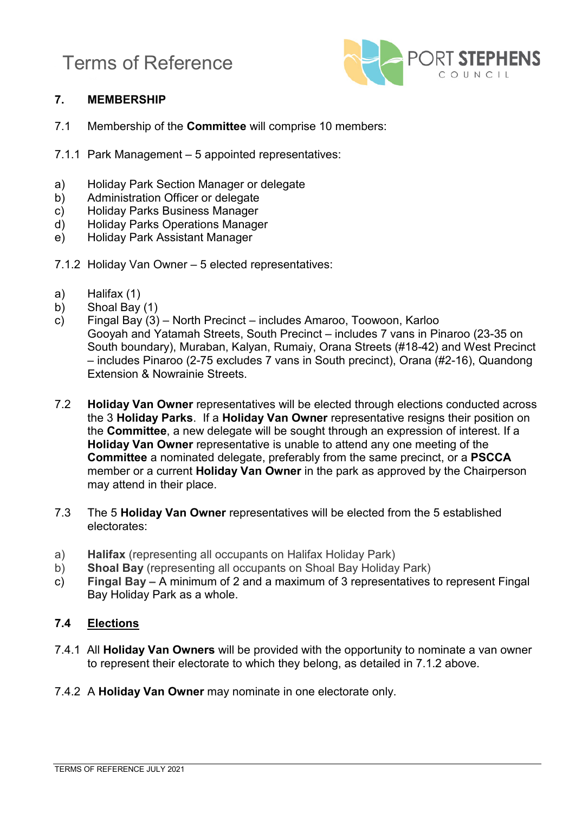

# **7. MEMBERSHIP**

- 7.1 Membership of the **Committee** will comprise 10 members:
- 7.1.1 Park Management 5 appointed representatives:
- a) Holiday Park Section Manager or delegate<br>b) Administration Officer or delegate
- b) Administration Officer or delegate<br>c) Holiday Parks Business Manager
- Holiday Parks Business Manager
- d) Holiday Parks Operations Manager
- e) Holiday Park Assistant Manager
- 7.1.2 Holiday Van Owner 5 elected representatives:
- a) Halifax (1)
- b) Shoal Bay (1)
- c) Fingal Bay (3) North Precinct includes Amaroo, Toowoon, Karloo Gooyah and Yatamah Streets, South Precinct – includes 7 vans in Pinaroo (23-35 on South boundary), Muraban, Kalyan, Rumaiy, Orana Streets (#18-42) and West Precinct – includes Pinaroo (2-75 excludes 7 vans in South precinct), Orana (#2-16), Quandong Extension & Nowrainie Streets.
- 7.2 **Holiday Van Owner** representatives will be elected through elections conducted across the 3 **Holiday Parks**. If a **Holiday Van Owner** representative resigns their position on the **Committee**, a new delegate will be sought through an expression of interest. If a **Holiday Van Owner** representative is unable to attend any one meeting of the **Committee** a nominated delegate, preferably from the same precinct, or a **PSCCA** member or a current **Holiday Van Owner** in the park as approved by the Chairperson may attend in their place.
- 7.3 The 5 **Holiday Van Owner** representatives will be elected from the 5 established electorates:
- a) **Halifax** (representing all occupants on Halifax Holiday Park)
- **Shoal Bay** (representing all occupants on Shoal Bay Holiday Park)
- c) **Fingal Bay –** A minimum of 2 and a maximum of 3 representatives to represent Fingal Bay Holiday Park as a whole.

# **7.4 Elections**

- 7.4.1 All **Holiday Van Owners** will be provided with the opportunity to nominate a van owner to represent their electorate to which they belong, as detailed in 7.1.2 above.
- 7.4.2 A **Holiday Van Owner** may nominate in one electorate only.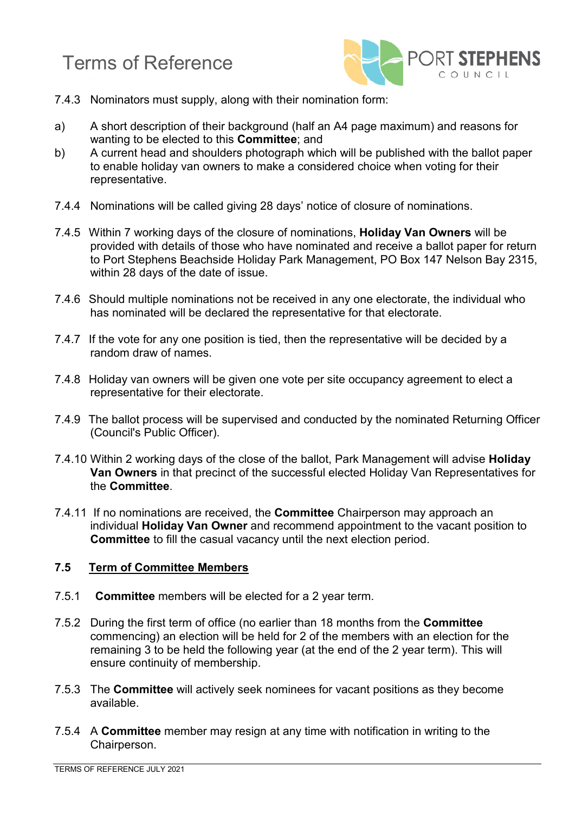

- 7.4.3 Nominators must supply, along with their nomination form:
- a) A short description of their background (half an A4 page maximum) and reasons for wanting to be elected to this **Committee**; and
- b) A current head and shoulders photograph which will be published with the ballot paper to enable holiday van owners to make a considered choice when voting for their representative.
- 7.4.4 Nominations will be called giving 28 days' notice of closure of nominations.
- 7.4.5 Within 7 working days of the closure of nominations, **Holiday Van Owners** will be provided with details of those who have nominated and receive a ballot paper for return to Port Stephens Beachside Holiday Park Management, PO Box 147 Nelson Bay 2315, within 28 days of the date of issue.
- 7.4.6 Should multiple nominations not be received in any one electorate, the individual who has nominated will be declared the representative for that electorate.
- 7.4.7 If the vote for any one position is tied, then the representative will be decided by a random draw of names.
- 7.4.8 Holiday van owners will be given one vote per site occupancy agreement to elect a representative for their electorate.
- 7.4.9 The ballot process will be supervised and conducted by the nominated Returning Officer (Council's Public Officer).
- 7.4.10 Within 2 working days of the close of the ballot, Park Management will advise **Holiday Van Owners** in that precinct of the successful elected Holiday Van Representatives for the **Committee**.
- 7.4.11 If no nominations are received, the **Committee** Chairperson may approach an individual **Holiday Van Owner** and recommend appointment to the vacant position to **Committee** to fill the casual vacancy until the next election period.

#### **7.5 Term of Committee Members**

- 7.5.1 **Committee** members will be elected for a 2 year term.
- 7.5.2 During the first term of office (no earlier than 18 months from the **Committee** commencing) an election will be held for 2 of the members with an election for the remaining 3 to be held the following year (at the end of the 2 year term). This will ensure continuity of membership.
- 7.5.3 The **Committee** will actively seek nominees for vacant positions as they become available.
- 7.5.4 A **Committee** member may resign at any time with notification in writing to the Chairperson.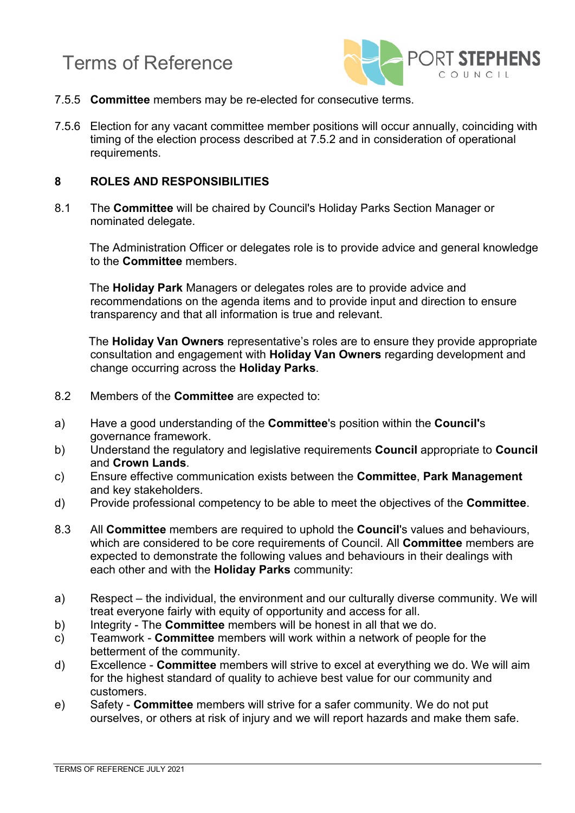



- 7.5.5 **Committee** members may be re-elected for consecutive terms.
- 7.5.6 Election for any vacant committee member positions will occur annually, coinciding with timing of the election process described at 7.5.2 and in consideration of operational requirements.

#### **8 ROLES AND RESPONSIBILITIES**

8.1 The **Committee** will be chaired by Council's Holiday Parks Section Manager or nominated delegate.

The Administration Officer or delegates role is to provide advice and general knowledge to the **Committee** members.

The **Holiday Park** Managers or delegates roles are to provide advice and recommendations on the agenda items and to provide input and direction to ensure transparency and that all information is true and relevant.

The **Holiday Van Owners** representative's roles are to ensure they provide appropriate consultation and engagement with **Holiday Van Owners** regarding development and change occurring across the **Holiday Parks**.

- 8.2 Members of the **Committee** are expected to:
- a) Have a good understanding of the **Committee**'s position within the **Council'**s governance framework.
- b) Understand the regulatory and legislative requirements **Council** appropriate to **Council** and **Crown Lands**.
- c) Ensure effective communication exists between the **Committee**, **Park Management** and key stakeholders.
- d) Provide professional competency to be able to meet the objectives of the **Committee**.
- 8.3 All **Committee** members are required to uphold the **Council**'s values and behaviours, which are considered to be core requirements of Council. All **Committee** members are expected to demonstrate the following values and behaviours in their dealings with each other and with the **Holiday Parks** community:
- a) Respect the individual, the environment and our culturally diverse community. We will treat everyone fairly with equity of opportunity and access for all.
- b) Integrity The **Committee** members will be honest in all that we do.
- c) Teamwork **Committee** members will work within a network of people for the betterment of the community.
- d) Excellence **Committee** members will strive to excel at everything we do. We will aim for the highest standard of quality to achieve best value for our community and customers.
- e) Safety **Committee** members will strive for a safer community. We do not put ourselves, or others at risk of injury and we will report hazards and make them safe.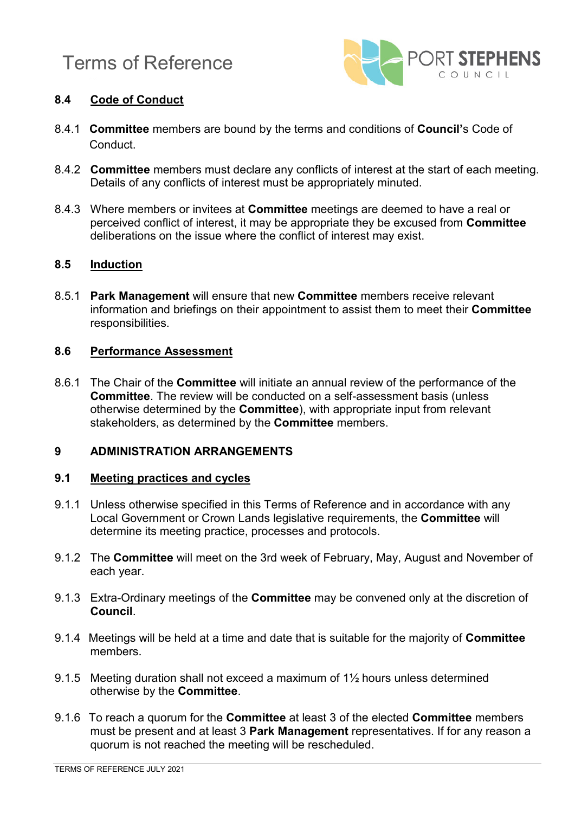

# **8.4 Code of Conduct**

- 8.4.1 **Committee** members are bound by the terms and conditions of **Council'**s Code of Conduct.
- 8.4.2 **Committee** members must declare any conflicts of interest at the start of each meeting. Details of any conflicts of interest must be appropriately minuted.
- 8.4.3 Where members or invitees at **Committee** meetings are deemed to have a real or perceived conflict of interest, it may be appropriate they be excused from **Committee** deliberations on the issue where the conflict of interest may exist.

### **8.5 Induction**

8.5.1 **Park Management** will ensure that new **Committee** members receive relevant information and briefings on their appointment to assist them to meet their **Committee**  responsibilities.

#### **8.6 Performance Assessment**

8.6.1 The Chair of the **Committee** will initiate an annual review of the performance of the **Committee**. The review will be conducted on a self-assessment basis (unless otherwise determined by the **Committee**), with appropriate input from relevant stakeholders, as determined by the **Committee** members.

#### **9 ADMINISTRATION ARRANGEMENTS**

#### **9.1 Meeting practices and cycles**

- 9.1.1 Unless otherwise specified in this Terms of Reference and in accordance with any Local Government or Crown Lands legislative requirements, the **Committee** will determine its meeting practice, processes and protocols.
- 9.1.2 The **Committee** will meet on the 3rd week of February, May, August and November of each year.
- 9.1.3 Extra-Ordinary meetings of the **Committee** may be convened only at the discretion of **Council**.
- 9.1.4 Meetings will be held at a time and date that is suitable for the majority of **Committee** members.
- 9.1.5 Meeting duration shall not exceed a maximum of 1½ hours unless determined otherwise by the **Committee**.
- 9.1.6 To reach a quorum for the **Committee** at least 3 of the elected **Committee** members must be present and at least 3 **Park Management** representatives. If for any reason a quorum is not reached the meeting will be rescheduled.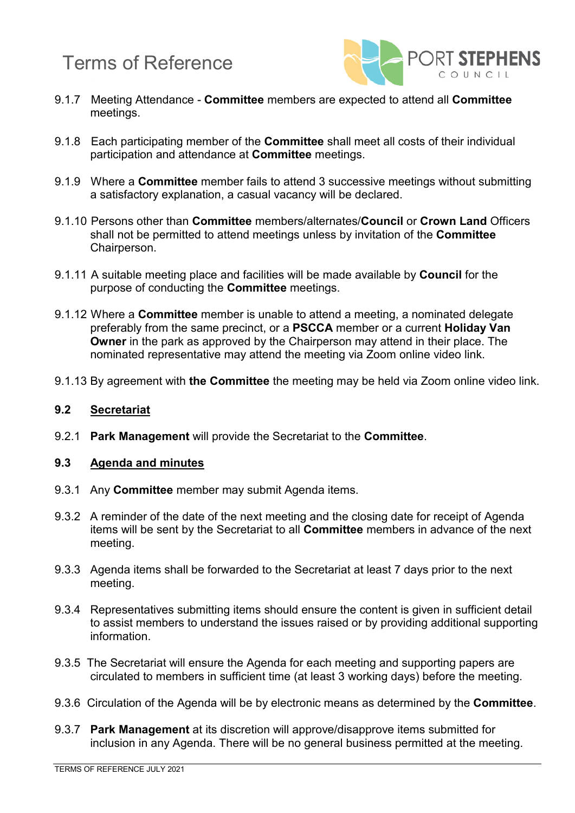

- 9.1.7 Meeting Attendance **Committee** members are expected to attend all **Committee** meetings.
- 9.1.8 Each participating member of the **Committee** shall meet all costs of their individual participation and attendance at **Committee** meetings.
- 9.1.9 Where a **Committee** member fails to attend 3 successive meetings without submitting a satisfactory explanation, a casual vacancy will be declared.
- 9.1.10 Persons other than **Committee** members/alternates/**Council** or **Crown Land** Officers shall not be permitted to attend meetings unless by invitation of the **Committee**  Chairperson.
- 9.1.11 A suitable meeting place and facilities will be made available by **Council** for the purpose of conducting the **Committee** meetings.
- 9.1.12 Where a **Committee** member is unable to attend a meeting, a nominated delegate preferably from the same precinct, or a **PSCCA** member or a current **Holiday Van Owner** in the park as approved by the Chairperson may attend in their place. The nominated representative may attend the meeting via Zoom online video link.
- 9.1.13 By agreement with **the Committee** the meeting may be held via Zoom online video link.

#### **9.2 Secretariat**

9.2.1 **Park Management** will provide the Secretariat to the **Committee**.

#### **9.3 Agenda and minutes**

- 9.3.1 Any **Committee** member may submit Agenda items.
- 9.3.2 A reminder of the date of the next meeting and the closing date for receipt of Agenda items will be sent by the Secretariat to all **Committee** members in advance of the next meeting.
- 9.3.3 Agenda items shall be forwarded to the Secretariat at least 7 days prior to the next meeting.
- 9.3.4 Representatives submitting items should ensure the content is given in sufficient detail to assist members to understand the issues raised or by providing additional supporting information.
- 9.3.5 The Secretariat will ensure the Agenda for each meeting and supporting papers are circulated to members in sufficient time (at least 3 working days) before the meeting.
- 9.3.6 Circulation of the Agenda will be by electronic means as determined by the **Committee**.
- 9.3.7 **Park Management** at its discretion will approve/disapprove items submitted for inclusion in any Agenda. There will be no general business permitted at the meeting.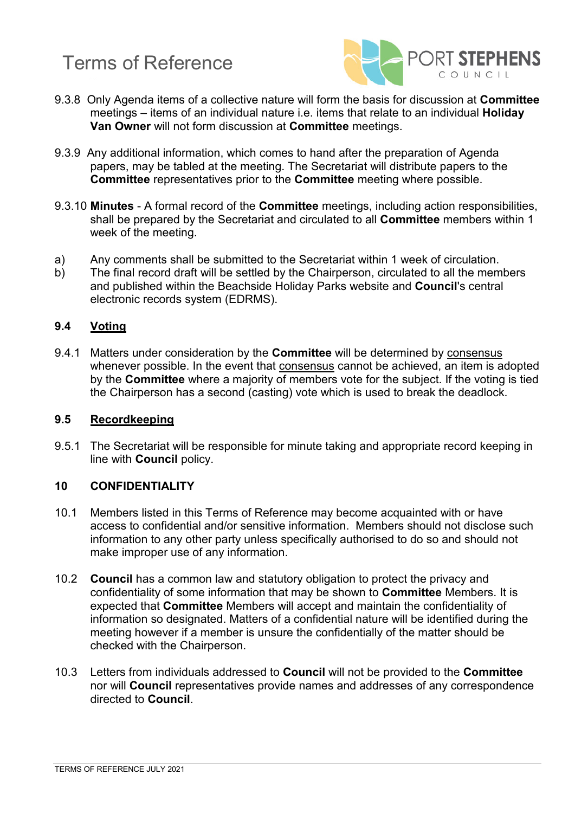

- 9.3.8 Only Agenda items of a collective nature will form the basis for discussion at **Committee** meetings – items of an individual nature i.e. items that relate to an individual **Holiday Van Owner** will not form discussion at **Committee** meetings.
- 9.3.9 Any additional information, which comes to hand after the preparation of Agenda papers, may be tabled at the meeting. The Secretariat will distribute papers to the **Committee** representatives prior to the **Committee** meeting where possible.
- 9.3.10 **Minutes** A formal record of the **Committee** meetings, including action responsibilities, shall be prepared by the Secretariat and circulated to all **Committee** members within 1 week of the meeting.
- a) Any comments shall be submitted to the Secretariat within 1 week of circulation.<br>b) The final record draft will be settled by the Chairperson, circulated to all the mem
- The final record draft will be settled by the Chairperson, circulated to all the members and published within the Beachside Holiday Parks website and **Council**'s central electronic records system (EDRMS).

### **9.4 Voting**

9.4.1 Matters under consideration by the **Committee** will be determined by consensus whenever possible. In the event that consensus cannot be achieved, an item is adopted by the **Committee** where a majority of members vote for the subject. If the voting is tied the Chairperson has a second (casting) vote which is used to break the deadlock.

#### **9.5 Recordkeeping**

9.5.1 The Secretariat will be responsible for minute taking and appropriate record keeping in line with **Council** policy.

#### **10 CONFIDENTIALITY**

- 10.1 Members listed in this Terms of Reference may become acquainted with or have access to confidential and/or sensitive information. Members should not disclose such information to any other party unless specifically authorised to do so and should not make improper use of any information.
- 10.2 **Council** has a common law and statutory obligation to protect the privacy and confidentiality of some information that may be shown to **Committee** Members. It is expected that **Committee** Members will accept and maintain the confidentiality of information so designated. Matters of a confidential nature will be identified during the meeting however if a member is unsure the confidentially of the matter should be checked with the Chairperson.
- 10.3 Letters from individuals addressed to **Council** will not be provided to the **Committee** nor will **Council** representatives provide names and addresses of any correspondence directed to **Council**.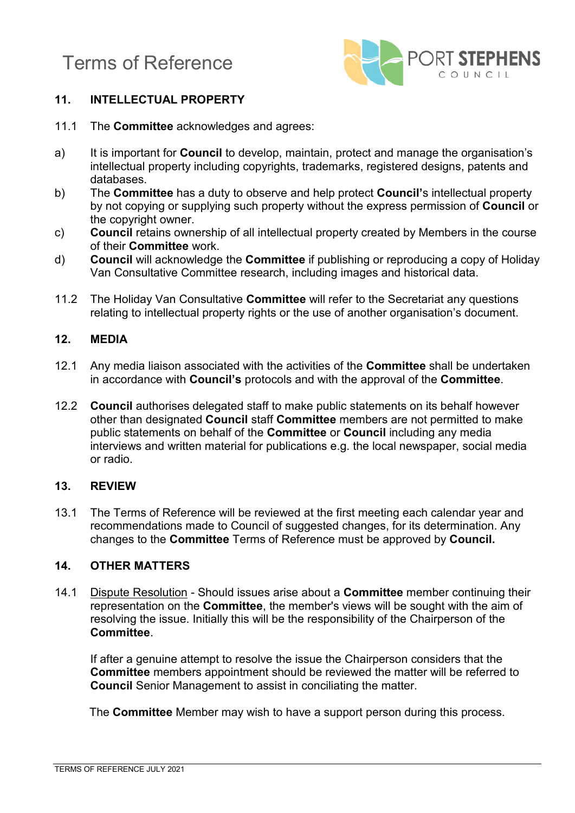

# **11. INTELLECTUAL PROPERTY**

- 11.1 The **Committee** acknowledges and agrees:
- a) It is important for **Council** to develop, maintain, protect and manage the organisation's intellectual property including copyrights, trademarks, registered designs, patents and databases.
- b) The **Committee** has a duty to observe and help protect **Council'**s intellectual property by not copying or supplying such property without the express permission of **Council** or the copyright owner.
- c) **Council** retains ownership of all intellectual property created by Members in the course of their **Committee** work.
- d) **Council** will acknowledge the **Committee** if publishing or reproducing a copy of Holiday Van Consultative Committee research, including images and historical data.
- 11.2 The Holiday Van Consultative **Committee** will refer to the Secretariat any questions relating to intellectual property rights or the use of another organisation's document.

#### **12. MEDIA**

- 12.1 Any media liaison associated with the activities of the **Committee** shall be undertaken in accordance with **Council's** protocols and with the approval of the **Committee**.
- 12.2 **Council** authorises delegated staff to make public statements on its behalf however other than designated **Council** staff **Committee** members are not permitted to make public statements on behalf of the **Committee** or **Council** including any media interviews and written material for publications e.g. the local newspaper, social media or radio.

#### **13. REVIEW**

13.1 The Terms of Reference will be reviewed at the first meeting each calendar year and recommendations made to Council of suggested changes, for its determination. Any changes to the **Committee** Terms of Reference must be approved by **Council.**

### **14. OTHER MATTERS**

14.1 Dispute Resolution - Should issues arise about a **Committee** member continuing their representation on the **Committee**, the member's views will be sought with the aim of resolving the issue. Initially this will be the responsibility of the Chairperson of the **Committee**.

If after a genuine attempt to resolve the issue the Chairperson considers that the **Committee** members appointment should be reviewed the matter will be referred to **Council** Senior Management to assist in conciliating the matter.

The **Committee** Member may wish to have a support person during this process.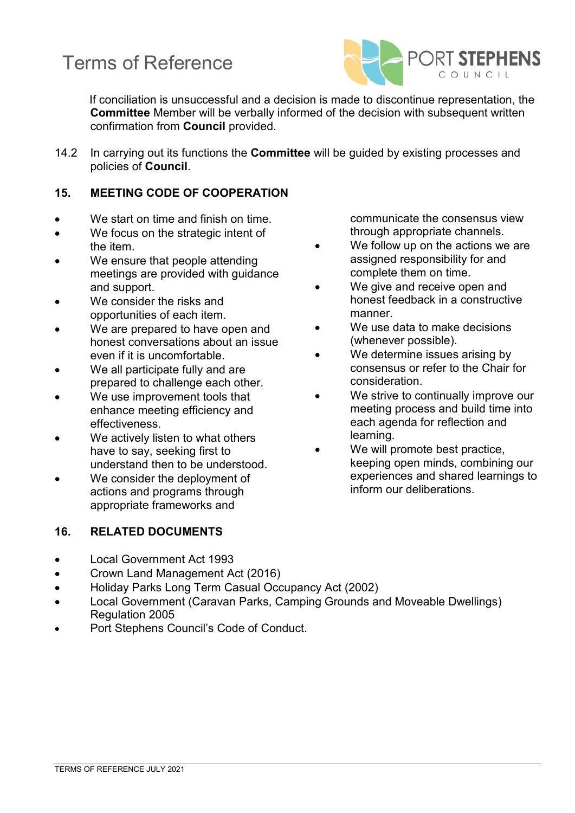

If conciliation is unsuccessful and a decision is made to discontinue representation, the **Committee** Member will be verbally informed of the decision with subsequent written confirmation from **Council** provided.

14.2 In carrying out its functions the **Committee** will be guided by existing processes and policies of **Council**.

# **15. MEETING CODE OF COOPERATION**

- We start on time and finish on time.
- We focus on the strategic intent of the item.
- We ensure that people attending meetings are provided with guidance and support.
- We consider the risks and opportunities of each item.
- We are prepared to have open and honest conversations about an issue even if it is uncomfortable.
- We all participate fully and are prepared to challenge each other.
- We use improvement tools that enhance meeting efficiency and effectiveness.
- We actively listen to what others have to say, seeking first to understand then to be understood.
- We consider the deployment of actions and programs through appropriate frameworks and

# **16. RELATED DOCUMENTS**

communicate the consensus view through appropriate channels.

- We follow up on the actions we are assigned responsibility for and complete them on time.
- We give and receive open and honest feedback in a constructive manner.
- We use data to make decisions (whenever possible).
- We determine issues arising by consensus or refer to the Chair for consideration.
- We strive to continually improve our meeting process and build time into each agenda for reflection and learning.
- We will promote best practice, keeping open minds, combining our experiences and shared learnings to inform our deliberations.

- Local Government Act 1993
- Crown Land Management Act (2016)
- Holiday Parks Long Term Casual Occupancy Act (2002)
- Local Government (Caravan Parks, Camping Grounds and Moveable Dwellings) Regulation 2005
- Port Stephens Council's Code of Conduct.